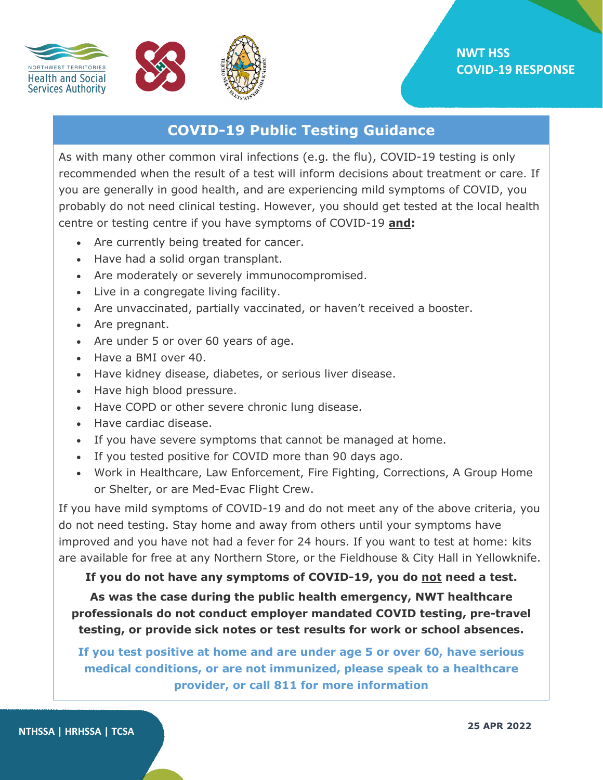





#### **NWT HSS COVID-19 RESPONSE**

# **COVID-19 Public Testing Guidance**

As with many other common viral infections (e.g. the flu), COVID-19 testing is only recommended when the result of a test will inform decisions about treatment or care. If you are generally in good health, and are experiencing mild symptoms of COVID, you probably do not need clinical testing. However, you should get tested at the local health centre or testing centre if you have symptoms of COVID-19 **and:**

- Are currently being treated for cancer.
- Have had a solid organ transplant.
- Are moderately or severely immunocompromised.
- Live in a congregate living facility.
- Are unvaccinated, partially vaccinated, or haven't received a booster.
- Are pregnant.
- Are under 5 or over 60 years of age.
- Have a BMI over 40.
- Have kidney disease, diabetes, or serious liver disease.
- Have high blood pressure.
- Have COPD or other severe chronic lung disease.
- Have cardiac disease.
- If you have severe symptoms that cannot be managed at home.
- If you tested positive for COVID more than 90 days ago.
- Work in Healthcare, Law Enforcement, Fire Fighting, Corrections, A Group Home or Shelter, or are Med-Evac Flight Crew.

If you have mild symptoms of COVID-19 and do not meet any of the above criteria, you do not need testing. Stay home and away from others until your symptoms have improved and you have not had a fever for 24 hours. If you want to test at home: kits are available for free at any Northern Store, or the Fieldhouse & City Hall in Yellowknife.

**If you do not have any symptoms of COVID-19, you do not need a test. As was the case during the public health emergency, NWT healthcare professionals do not conduct employer mandated COVID testing, pre-travel testing, or provide sick notes or test results for work or school absences.**

**If you test positive at home and are under age 5 or over 60, have serious medical conditions, or are not immunized, please speak to a healthcare provider, or call 811 for more information**